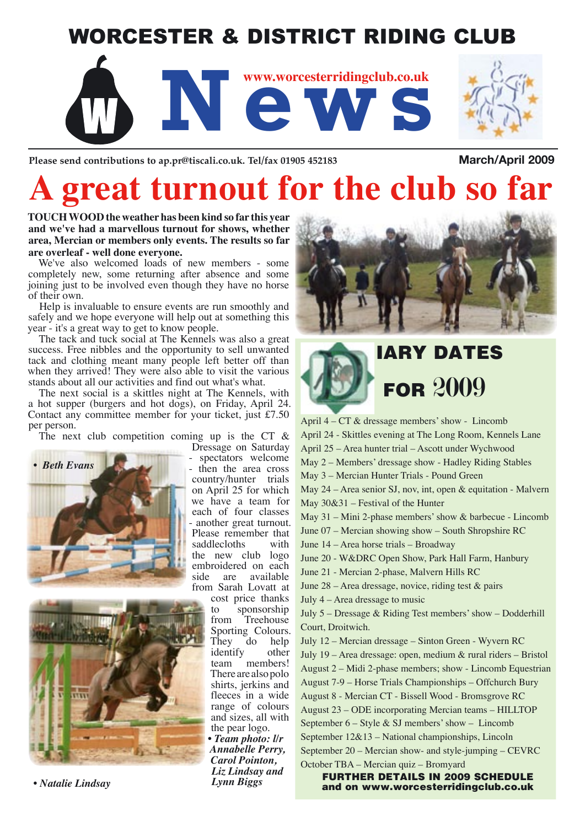### WORCESTER & DISTRICT RIDING CLUB





Please send contributions to ap.pr@tiscali.co.uk. Tel/fax 01905 452183 **March/April 2009** 

# **A great turnout for the club so far**

**TOUCH WOOD the weather has been kind so far this year and we've had a marvellous turnout for shows, whether area, Mercian or members only events. The results so far are overleaf - well done everyone.**

We've also welcomed loads of new members - some completely new, some returning after absence and some joining just to be involved even though they have no horse of their own.

Help is invaluable to ensure events are run smoothly and safely and we hope everyone will help out at something this year - it's a great way to get to know people.

The tack and tuck social at The Kennels was also a great success. Free nibbles and the opportunity to sell unwanted tack and clothing meant many people left better off than when they arrived! They were also able to visit the various stands about all our activities and find out what's what.

The next social is a skittles night at The Kennels, with a hot supper (burgers and hot dogs), on Friday, April 24. Contact any committee member for your ticket, just £7.50 per person.

The next club competition coming up is the CT  $\&$ 





*• Natalie Lindsay*

Dressage on Saturday spectators welcome

then the area cross country/hunter trials on April 25 for which we have a team for each of four classes - another great turnout. Please remember that<br>saddlecloths with saddlecloths the new club logo embroidered on each<br>side are available side are available from Sarah Lovatt at

> cost price thanks to sponsorship from Treehouse Sporting Colours. They do help identify other team members! There are also polo shirts, jerkins and fleeces in a wide range of colours and sizes, all with the pear logo.

*• Team photo: l/r Annabelle Perry, Carol Pointon, Liz Lindsay and Lynn Biggs*



## IARY DATES **FOR 2009**

April 4 – CT & dressage members' show - Lincomb April 24 - Skittles evening at The Long Room, Kennels Lane April 25 – Area hunter trial – Ascott under Wychwood May 2 – Members' dressage show - Hadley Riding Stables May 3 – Mercian Hunter Trials - Pound Green May 24 – Area senior SJ, nov, int, open & equitation - Malvern May 30&31 – Festival of the Hunter May 31 – Mini 2-phase members' show & barbecue - Lincomb June 07 – Mercian showing show – South Shropshire RC June 14 – Area horse trials – Broadway June 20 - W&DRC Open Show, Park Hall Farm, Hanbury June 21 - Mercian 2-phase, Malvern Hills RC June 28 – Area dressage, novice, riding test & pairs July 4 – Area dressage to music July 5 – Dressage & Riding Test members' show – Dodderhill Court, Droitwich. July 12 – Mercian dressage – Sinton Green - Wyvern RC July 19 – Area dressage: open, medium & rural riders – Bristol August 2 – Midi 2-phase members; show - Lincomb Equestrian August 7-9 – Horse Trials Championships – Offchurch Bury August 8 - Mercian CT - Bissell Wood - Bromsgrove RC August 23 – ODE incorporating Mercian teams – HILLTOP September  $6 -$  Style & SJ members' show  $-$  Lincomb September 12&13 – National championships, Lincoln September 20 – Mercian show- and style-jumping – CEVRC October TBA – Mercian quiz – Bromyard

FURTHER DETAILS IN 2009 SCHEDULE and on www.worcesterridingclub.co.uk